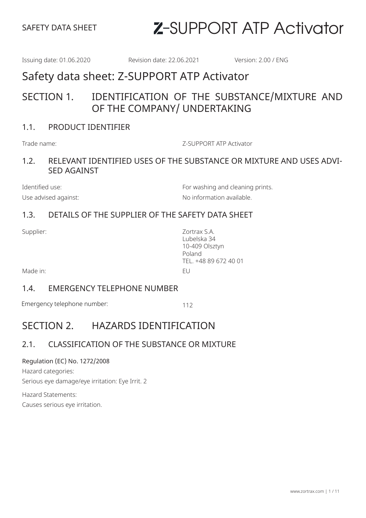Issuing date: 01.06.2020 Revision date: 22.06.2021 Version: 2.00 / ENG

# Safety data sheet: Z-SUPPORT ATP Activator

### SECTION 1. IDENTIFICATION OF THE SUBSTANCE/MIXTURE AND OF THE COMPANY/ UNDERTAKING

#### 1.1. PRODUCT IDENTIFIER

Trade name: Z-SUPPORT ATP Activator

#### 1.2. RELEVANT IDENTIFIED USES OF THE SUBSTANCE OR MIXTURE AND USES ADVI-SED AGAINST

Identified use: The Contract of the Formula Solution of Formula Solution and cleaning prints. Use advised against:  $\blacksquare$ 

### 1.3. DETAILS OF THE SUPPLIER OF THE SAFETY DATA SHEET

Supplier: Zortrax S.A. Lubelska 34 10-409 Olsztyn Poland TEL. +48 89 672 40 01

Made in: EU

#### 1.4. EMERGENCY TELEPHONE NUMBER

Emergency telephone number: 112

# SECTION 2. HAZARDS IDENTIFICATION

### 2.1. CLASSIFICATION OF THE SUBSTANCE OR MIXTURE

#### Regulation (EC) No. 1272/2008

Hazard categories: Serious eye damage/eye irritation: Eye Irrit. 2

Hazard Statements: Causes serious eye irritation.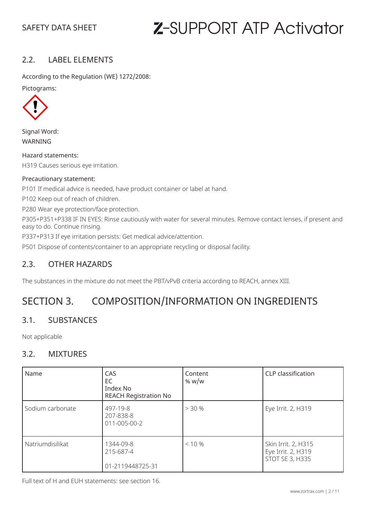#### 2.2. LABEL ELEMENTS

According to the Regulation (WE) 1272/2008:

Pictograms:



Signal Word: WARNING

Hazard statements: H319 Causes serious eye irritation.

#### Precautionary statement:

P101 If medical advice is needed, have product container or label at hand.

P102 Keep out of reach of children.

P280 Wear eye protection/face protection.

P305+P351+P338 IF IN EYES: Rinse cautiously with water for several minutes. Remove contact lenses, if present and easy to do. Continue rinsing.

P337+P313 If eye irritation persists: Get medical advice/attention.

P501 Dispose of contents/container to an appropriate recycling or disposal facility.

#### 2.3. OTHER HAZARDS

The substances in the mixture do not meet the PBT/vPvB criteria according to REACH, annex XIII.

# SECTION 3. COMPOSITION/INFORMATION ON INGREDIENTS

#### 3.1. SUBSTANCES

Not applicable

#### 3.2. MIXTURES

| Name             | CAS<br>EC<br>Index No<br><b>REACH Registration No</b> | Content<br>% $w/w$ | CLP classification                                                  |
|------------------|-------------------------------------------------------|--------------------|---------------------------------------------------------------------|
| Sodium carbonate | 497-19-8<br>207-838-8<br>011-005-00-2                 | > 30%              | Eye Irrit. 2, H319                                                  |
| Natriumdisilikat | 1344-09-8<br>215-687-4<br>01-2119448725-31            | $< 10 \%$          | Skin Irrit. 2, H315<br>Eye Irrit. 2, H319<br><b>STOT SE 3, H335</b> |

Full text of H and EUH statements: see section 16.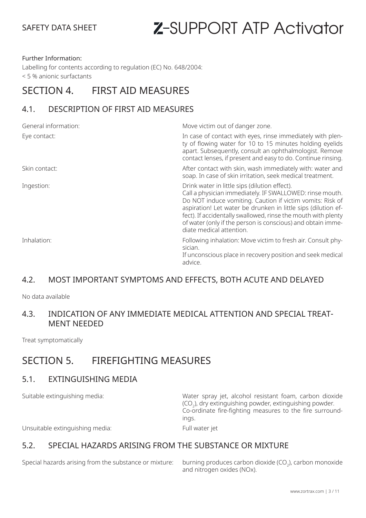#### Further Information:

Labelling for contents according to regulation (EC) No. 648/2004: < 5 % anionic surfactants

## SECTION 4. FIRST AID MEASURES

#### 4.1. DESCRIPTION OF FIRST AID MEASURES

| General information: | Move victim out of danger zone.                                                                                                                                                                                                                                                                                                                                                                     |
|----------------------|-----------------------------------------------------------------------------------------------------------------------------------------------------------------------------------------------------------------------------------------------------------------------------------------------------------------------------------------------------------------------------------------------------|
| Eye contact:         | In case of contact with eyes, rinse immediately with plen-<br>ty of flowing water for 10 to 15 minutes holding eyelids<br>apart. Subsequently, consult an ophthalmologist. Remove<br>contact lenses, if present and easy to do. Continue rinsing.                                                                                                                                                   |
| Skin contact:        | After contact with skin, wash immediately with: water and<br>soap. In case of skin irritation, seek medical treatment.                                                                                                                                                                                                                                                                              |
| Ingestion:           | Drink water in little sips (dilution effect).<br>Call a physician immediately. IF SWALLOWED: rinse mouth.<br>Do NOT induce vomiting. Caution if victim vomits: Risk of<br>aspiration! Let water be drunken in little sips (dilution ef-<br>fect). If accidentally swallowed, rinse the mouth with plenty<br>of water (only if the person is conscious) and obtain imme-<br>diate medical attention. |
| Inhalation:          | Following inhalation: Move victim to fresh air. Consult phy-<br>sician.<br>If unconscious place in recovery position and seek medical<br>advice.                                                                                                                                                                                                                                                    |

#### 4.2. MOST IMPORTANT SYMPTOMS AND EFFECTS, BOTH ACUTE AND DELAYED

No data available

#### 4.3. INDICATION OF ANY IMMEDIATE MEDICAL ATTENTION AND SPECIAL TREAT-MENT NEEDED

Treat symptomatically

### SECTION 5 FIREFIGHTING MEASURES

#### 5.1. EXTINGUISHING MEDIA

Suitable extinguishing media: Water spray jet, alcohol resistant foam, carbon dioxide  $\mathsf{(CO}_2)$ , dry extinguishing powder, extinguishing powder. Co-ordinate fire-fighting measures to the fire surroundings.

Unsuitable extinguishing media: Full water jet

5.2. SPECIAL HAZARDS ARISING FROM THE SUBSTANCE OR MIXTURE

Special hazards arising from the substance or mixture:

burning produces carbon dioxide  $(CO_2)$ , carbon monoxide and nitrogen oxides (NOx).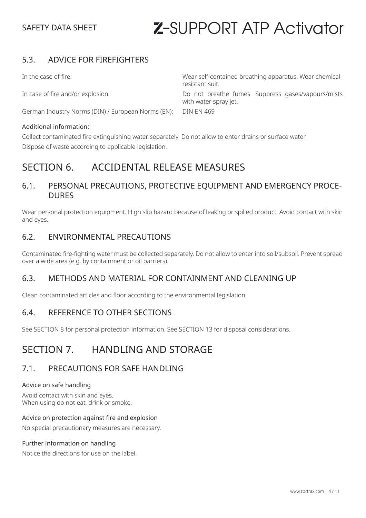#### 5.3. ADVICE FOR FIREFIGHTERS

German Industry Norms (DIN) / European Norms (EN): DIN EN 469

#### Additional information:

In the case of fire: Wear self-contained breathing apparatus. Wear chemical resistant suit.

In case of fire and/or explosion: Do not breathe fumes. Suppress gases/vapours/mists with water spray jet.

Collect contaminated fire extinguishing water separately. Do not allow to enter drains or surface water. Dispose of waste according to applicable legislation.

### SECTION 6 ACCIDENTAL RELEASE MEASURES

#### 6.1. PERSONAL PRECAUTIONS, PROTECTIVE EQUIPMENT AND EMERGENCY PROCE-**DURES**

Wear personal protection equipment. High slip hazard because of leaking or spilled product. Avoid contact with skin and eyes.

#### 6.2. ENVIRONMENTAL PRECAUTIONS

Contaminated fire-fighting water must be collected separately. Do not allow to enter into soil/subsoil. Prevent spread over a wide area (e.g. by containment or oil barriers).

#### 6.3. METHODS AND MATERIAL FOR CONTAINMENT AND CLEANING UP

Clean contaminated articles and floor according to the environmental legislation.

#### 6.4. REFERENCE TO OTHER SECTIONS

See SECTION 8 for personal protection information. See SECTION 13 for disposal considerations.

# SECTION 7. HANDLING AND STORAGE

#### 7.1. PRECAUTIONS FOR SAFE HANDLING

#### Advice on safe handling

Avoid contact with skin and eyes. When using do not eat, drink or smoke.

#### Advice on protection against fire and explosion

No special precautionary measures are necessary.

#### Further information on handling

Notice the directions for use on the label.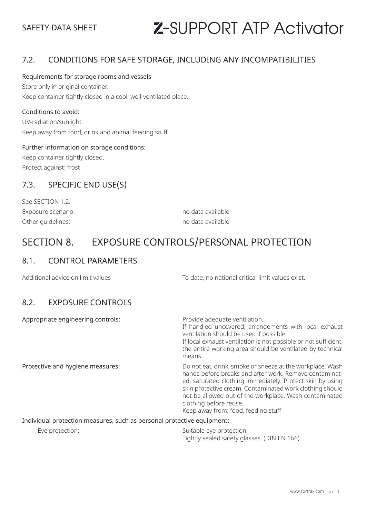#### 7.2. CONDITIONS FOR SAFE STORAGE, INCLUDING ANY INCOMPATIBILITIES

#### Requirements for storage rooms and vessels

Store only in original container. Keep container tightly closed in a cool, well-ventilated place.

#### Conditions to avoid:

UV-radiation/sunlight. Keep away from food, drink and animal feeding stuff.

#### Further information on storage conditions:

Keep container tightly closed. Protect against: frost

#### 7.3. SPECIFIC END USE(S)

| no data available |
|-------------------|
| no data available |
|                   |

# SECTION 8. EXPOSURE CONTROLS/PERSONAL PROTECTION

#### 8.1. CONTROL PARAMETERS

Additional advice on limit values To date, no national critical limit values exist. 8.2. EXPOSURE CONTROLS Appropriate engineering controls: Provide adequate ventilation. If handled uncovered, arrangements with local exhaust ventilation should be used if possible. If local exhaust ventilation is not possible or not sufficient, the entire working area should be ventilated by technical means. Protective and hygiene measures: Do not eat, drink, smoke or sneeze at the workplace. Wash hands before breaks and after work. Remove contaminated, saturated clothing immediately. Protect skin by using skin protective cream. Contaminated work clothing should not be allowed out of the workplace. Wash contaminated

Individual protection measures, such as personal protective equipment:

Eye protection: Suitable eye protection: Tightly sealed safety glasses. (DIN EN 166)

Keep away from: food, feeding stuff

clothing before reuse.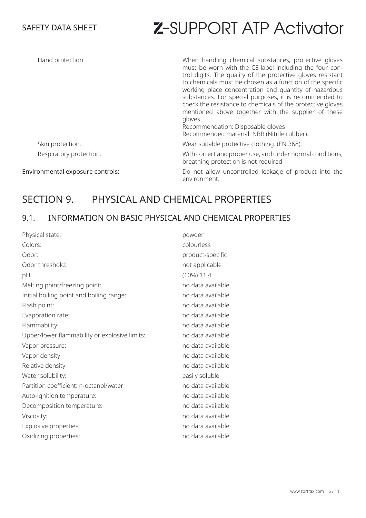| Hand protection:                 | When handling chemical substances, protective gloves<br>must be worn with the CE-label including the four con-<br>trol digits. The quality of the protective gloves resistant<br>to chemicals must be chosen as a function of the specific<br>working place concentration and quantity of hazardous<br>substances. For special purposes, it is recommended to<br>check the resistance to chemicals of the protective gloves<br>mentioned above together with the supplier of these<br>gloves.<br>Recommendation: Disposable gloves<br>Recommended material: NBR (Nitrile rubber). |
|----------------------------------|-----------------------------------------------------------------------------------------------------------------------------------------------------------------------------------------------------------------------------------------------------------------------------------------------------------------------------------------------------------------------------------------------------------------------------------------------------------------------------------------------------------------------------------------------------------------------------------|
| Skin protection:                 | Wear suitable protective clothing. (EN 368).                                                                                                                                                                                                                                                                                                                                                                                                                                                                                                                                      |
| Respiratory protection:          | With correct and proper use, and under normal conditions,<br>breathing protection is not required.                                                                                                                                                                                                                                                                                                                                                                                                                                                                                |
| Environmental exposure controls: | Do not allow uncontrolled leakage of product into the<br>environment.                                                                                                                                                                                                                                                                                                                                                                                                                                                                                                             |

# SECTION 9. PHYSICAL AND CHEMICAL PROPERTIES

### 9.1. INFORMATION ON BASIC PHYSICAL AND CHEMICAL PROPERTIES

| Physical state:                               | powder            |
|-----------------------------------------------|-------------------|
| Colors:                                       | colourless        |
| Odor:                                         | product-specific  |
| Odor threshold:                               | not applicable    |
| pH:                                           | $(10\%) 11,4$     |
| Melting point/freezing point:                 | no data available |
| Initial boiling point and boiling range:      | no data available |
| Flash point:                                  | no data available |
| Evaporation rate:                             | no data available |
| Flammability:                                 | no data available |
| Upper/lower flammability or explosive limits: | no data available |
| Vapor pressure:                               | no data available |
| Vapor density:                                | no data available |
| Relative density:                             | no data available |
| Water solubility:                             | easily soluble    |
| Partition coefficient: n-octanol/water:       | no data available |
| Auto-ignition temperature:                    | no data available |
| Decomposition temperature:                    | no data available |
| Viscosity:                                    | no data available |
| Explosive properties:                         | no data available |
| Oxidizing properties:                         | no data available |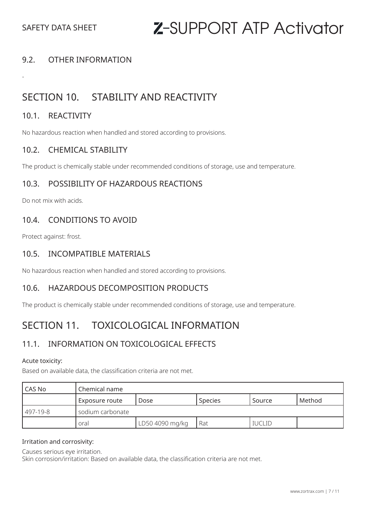#### 9.2. OTHER INFORMATION

## SECTION 10. STABILITY AND REACTIVITY

#### 10.1. REACTIVITY

-

No hazardous reaction when handled and stored according to provisions.

#### 10.2. CHEMICAL STABILITY

The product is chemically stable under recommended conditions of storage, use and temperature.

#### 10.3. POSSIBILITY OF HAZARDOUS REACTIONS

Do not mix with acids.

#### 10.4. CONDITIONS TO AVOID

Protect against: frost.

#### 10.5. INCOMPATIBLE MATERIALS

No hazardous reaction when handled and stored according to provisions.

#### 10.6. HAZARDOUS DECOMPOSITION PRODUCTS

The product is chemically stable under recommended conditions of storage, use and temperature.

### SECTION 11. TOXICOLOGICAL INFORMATION

### 11.1. INFORMATION ON TOXICOLOGICAL EFFECTS

#### Acute toxicity:

Based on available data, the classification criteria are not met.

| l CAS No    | Chemical name    |                 |                |               |        |
|-------------|------------------|-----------------|----------------|---------------|--------|
|             | Exposure route   | Dose            | <b>Species</b> | Source        | Method |
| $1497-19-8$ | sodium carbonate |                 |                |               |        |
|             | oral             | LD50 4090 mg/kg | Rat            | <b>IUCLID</b> |        |

#### Irritation and corrosivity:

Causes serious eye irritation.

Skin corrosion/irritation: Based on available data, the classification criteria are not met.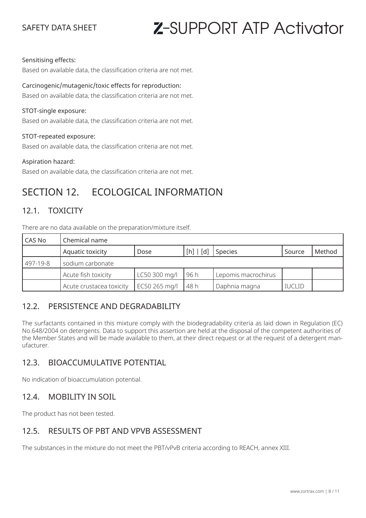#### Sensitising effects:

Based on available data, the classification criteria are not met.

#### Carcinogenic/mutagenic/toxic effects for reproduction:

Based on available data, the classification criteria are not met.

#### STOT-single exposure:

Based on available data, the classification criteria are not met.

#### STOT-repeated exposure:

Based on available data, the classification criteria are not met.

#### Aspiration hazard:

Based on available data, the classification criteria are not met.

### SECTION 12. ECOLOGICAL INFORMATION

#### 12.1. TOXICITY

There are no data available on the preparation/mixture itself.

| l CAS No | Chemical name            |               |           |                     |               |        |
|----------|--------------------------|---------------|-----------|---------------------|---------------|--------|
|          | Aquatic toxicity         | Dose          | [h]   [d] | Species             | Source        | Method |
| 497-19-8 | sodium carbonate         |               |           |                     |               |        |
|          | Acute fish toxicity      | LC50 300 mg/l | l 96 h    | Lepomis macrochirus |               |        |
|          | Acute crustacea toxicity | EC50 265 mg/l | 48 h      | Daphnia magna       | <b>IUCLID</b> |        |

#### 12.2. PERSISTENCE AND DEGRADABILITY

The surfactants contained in this mixture comply with the biodegradability criteria as laid down in Regulation (EC) No.648/2004 on detergents. Data to support this assertion are held at the disposal of the competent authorities of the Member States and will be made available to them, at their direct request or at the request of a detergent manufacturer.

### 12.3. BIOACCUMULATIVE POTENTIAL

No indication of bioaccumulation potential.

#### 12.4. MOBILITY IN SOIL

The product has not been tested.

#### 12.5. RESULTS OF PBT AND VPVB ASSESSMENT

The substances in the mixture do not meet the PBT/vPvB criteria according to REACH, annex XIII.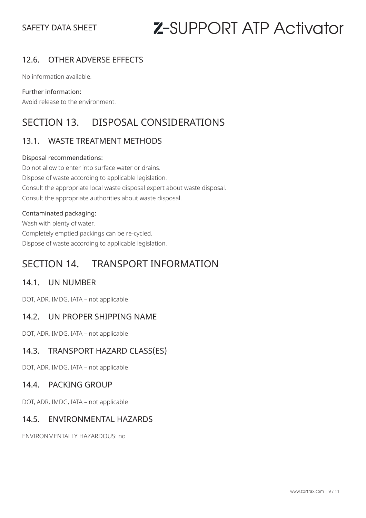### 12.6. OTHER ADVERSE EFFECTS

No information available.

#### Further information:

Avoid release to the environment.

# SECTION 13. DISPOSAL CONSIDERATIONS

### 13.1. WASTE TREATMENT METHODS

#### Disposal recommendations:

Do not allow to enter into surface water or drains. Dispose of waste according to applicable legislation. Consult the appropriate local waste disposal expert about waste disposal. Consult the appropriate authorities about waste disposal.

#### Contaminated packaging:

Wash with plenty of water. Completely emptied packings can be re-cycled. Dispose of waste according to applicable legislation.

# SECTION 14. TRANSPORT INFORMATION

#### 14.1. UN NUMBER

DOT, ADR, IMDG, IATA – not applicable

#### 14.2. UN PROPER SHIPPING NAME

DOT, ADR, IMDG, IATA – not applicable

#### 14.3. TRANSPORT HAZARD CLASS(ES)

DOT, ADR, IMDG, IATA – not applicable

#### 14.4. PACKING GROUP

DOT, ADR, IMDG, IATA – not applicable

#### 14.5. ENVIRONMENTAL HAZARDS

ENVIRONMENTALLY HAZARDOUS: no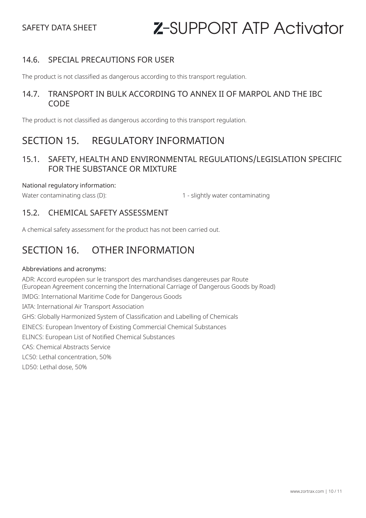#### 14.6. SPECIAL PRECAUTIONS FOR USER

The product is not classified as dangerous according to this transport regulation.

#### 14.7. TRANSPORT IN BULK ACCORDING TO ANNEX II OF MARPOL AND THE IBC CODE

The product is not classified as dangerous according to this transport regulation.

### SECTION 15. REGULATORY INFORMATION

#### 15.1. SAFETY, HEALTH AND ENVIRONMENTAL REGULATIONS/LEGISLATION SPECIFIC FOR THE SUBSTANCE OR MIXTURE

National regulatory information:

Water contaminating class (D): 1 - slightly water contaminating (Mater contaminating

#### 15.2. CHEMICAL SAFETY ASSESSMENT

A chemical safety assessment for the product has not been carried out.

# SECTION 16. OTHER INFORMATION

#### Abbreviations and acronyms:

ADR: Accord européen sur le transport des marchandises dangereuses par Route (European Agreement concerning the International Carriage of Dangerous Goods by Road) IMDG: International Maritime Code for Dangerous Goods IATA: International Air Transport Association GHS: Globally Harmonized System of Classification and Labelling of Chemicals EINECS: European Inventory of Existing Commercial Chemical Substances ELINCS: European List of Notified Chemical Substances CAS: Chemical Abstracts Service LC50: Lethal concentration, 50% LD50: Lethal dose, 50%